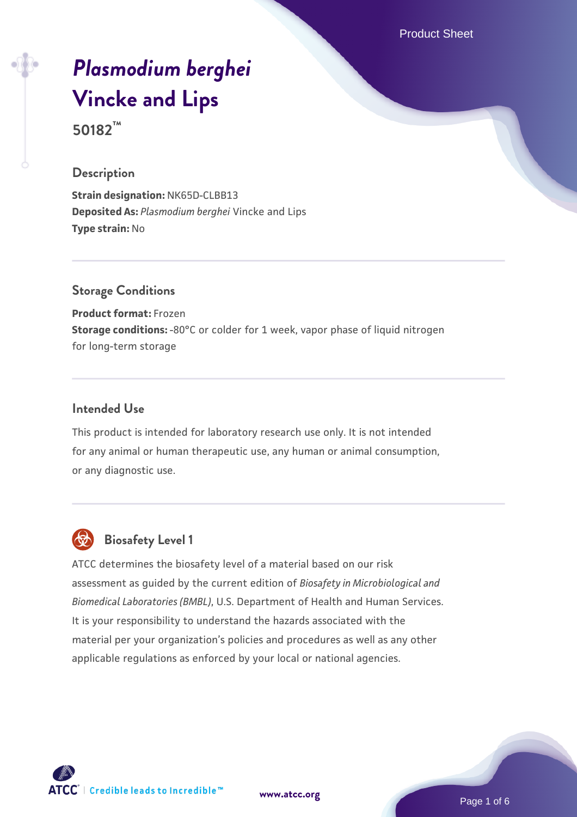Product Sheet

# *[Plasmodium berghei](https://www.atcc.org/products/50182)* **[Vincke and Lips](https://www.atcc.org/products/50182) 50182™**

### **Description**

**Strain designation:** NK65D-CLBB13 **Deposited As:** *Plasmodium berghei* Vincke and Lips **Type strain:** No

## **Storage Conditions**

**Product format:** Frozen **Storage conditions:** -80°C or colder for 1 week, vapor phase of liquid nitrogen for long-term storage

#### **Intended Use**

This product is intended for laboratory research use only. It is not intended for any animal or human therapeutic use, any human or animal consumption, or any diagnostic use.



## **Biosafety Level 1**

ATCC determines the biosafety level of a material based on our risk assessment as guided by the current edition of *Biosafety in Microbiological and Biomedical Laboratories (BMBL)*, U.S. Department of Health and Human Services. It is your responsibility to understand the hazards associated with the material per your organization's policies and procedures as well as any other applicable regulations as enforced by your local or national agencies.



**[www.atcc.org](http://www.atcc.org)**

Page 1 of 6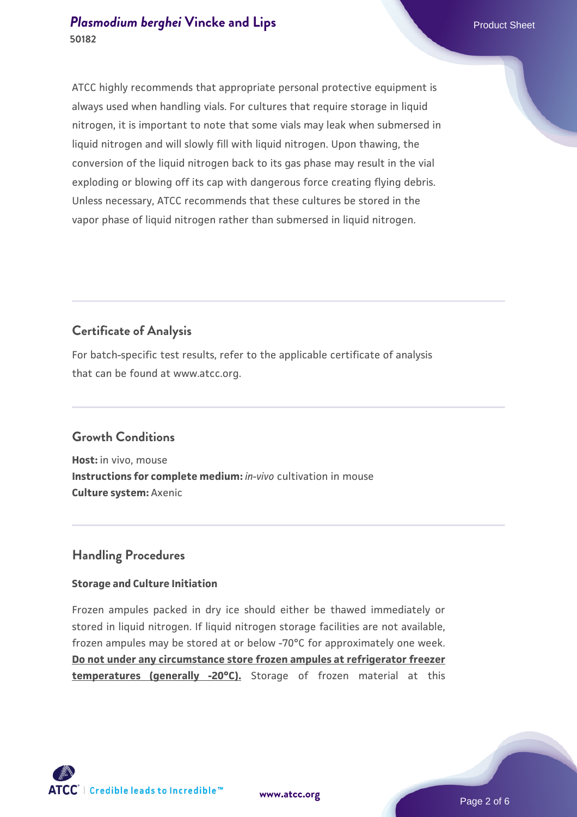ATCC highly recommends that appropriate personal protective equipment is always used when handling vials. For cultures that require storage in liquid nitrogen, it is important to note that some vials may leak when submersed in liquid nitrogen and will slowly fill with liquid nitrogen. Upon thawing, the conversion of the liquid nitrogen back to its gas phase may result in the vial exploding or blowing off its cap with dangerous force creating flying debris. Unless necessary, ATCC recommends that these cultures be stored in the vapor phase of liquid nitrogen rather than submersed in liquid nitrogen.

## **Certificate of Analysis**

For batch-specific test results, refer to the applicable certificate of analysis that can be found at www.atcc.org.

## **Growth Conditions**

**Host:** in vivo, mouse **Instructions for complete medium:** *in-vivo* cultivation in mouse **Culture system:** Axenic

## **Handling Procedures**

## **Storage and Culture Initiation**

Frozen ampules packed in dry ice should either be thawed immediately or stored in liquid nitrogen. If liquid nitrogen storage facilities are not available, frozen ampules may be stored at or below -70°C for approximately one week. **Do not under any circumstance store frozen ampules at refrigerator freezer temperatures (generally -20°C).** Storage of frozen material at this

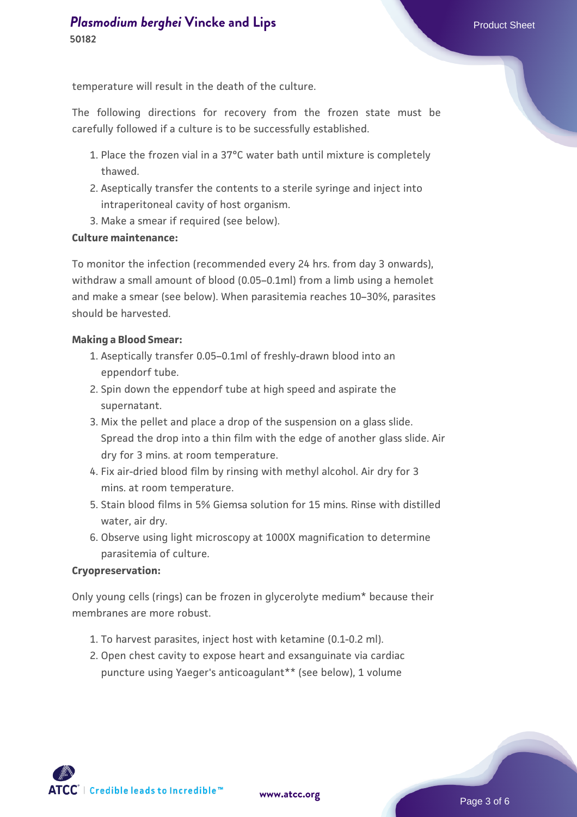temperature will result in the death of the culture.

The following directions for recovery from the frozen state must be carefully followed if a culture is to be successfully established.

- 1. Place the frozen vial in a 37°C water bath until mixture is completely thawed.
- 2. Aseptically transfer the contents to a sterile syringe and inject into intraperitoneal cavity of host organism.
- 3. Make a smear if required (see below).

#### **Culture maintenance:**

To monitor the infection (recommended every 24 hrs. from day 3 onwards), withdraw a small amount of blood (0.05–0.1ml) from a limb using a hemolet and make a smear (see below). When parasitemia reaches 10–30%, parasites should be harvested.

#### **Making a Blood Smear:**

- Aseptically transfer 0.05–0.1ml of freshly-drawn blood into an 1. eppendorf tube.
- 2. Spin down the eppendorf tube at high speed and aspirate the supernatant.
- 3. Mix the pellet and place a drop of the suspension on a glass slide. Spread the drop into a thin film with the edge of another glass slide. Air dry for 3 mins. at room temperature.
- 4. Fix air-dried blood film by rinsing with methyl alcohol. Air dry for 3 mins. at room temperature.
- Stain blood films in 5% Giemsa solution for 15 mins. Rinse with distilled 5. water, air dry.
- 6. Observe using light microscopy at 1000X magnification to determine parasitemia of culture.

#### **Cryopreservation:**

Only young cells (rings) can be frozen in glycerolyte medium\* because their membranes are more robust.

- 1. To harvest parasites, inject host with ketamine (0.1-0.2 ml).
- 2. Open chest cavity to expose heart and exsanguinate via cardiac puncture using Yaeger's anticoagulant\*\* (see below), 1 volume

 $\mathsf{ATCC}^*$   $\vdash$  Credible leads to Incredible  $\mathbb {m}$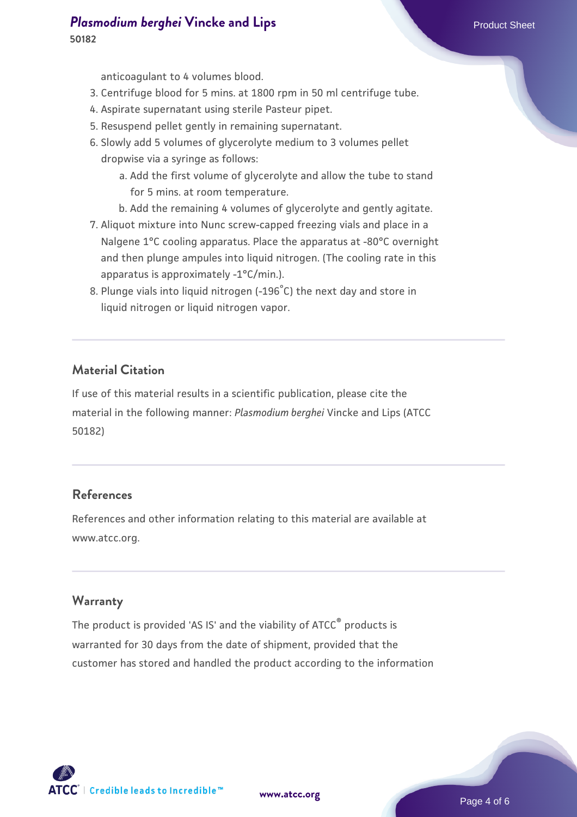**50182**

anticoagulant to 4 volumes blood.

- 3. Centrifuge blood for 5 mins. at 1800 rpm in 50 ml centrifuge tube.
- 4. Aspirate supernatant using sterile Pasteur pipet.
- 5. Resuspend pellet gently in remaining supernatant.
- Slowly add 5 volumes of glycerolyte medium to 3 volumes pellet 6. dropwise via a syringe as follows:
	- a. Add the first volume of glycerolyte and allow the tube to stand for 5 mins. at room temperature.
	- b. Add the remaining 4 volumes of glycerolyte and gently agitate.
- 7. Aliquot mixture into Nunc screw-capped freezing vials and place in a Nalgene 1°C cooling apparatus. Place the apparatus at -80°C overnight and then plunge ampules into liquid nitrogen. (The cooling rate in this apparatus is approximately -1°C/min.).
- 8. Plunge vials into liquid nitrogen (-196 $^{\circ}$ C) the next day and store in liquid nitrogen or liquid nitrogen vapor.

## **Material Citation**

If use of this material results in a scientific publication, please cite the material in the following manner: *Plasmodium berghei* Vincke and Lips (ATCC 50182)

## **References**

References and other information relating to this material are available at www.atcc.org.

## **Warranty**

The product is provided 'AS IS' and the viability of ATCC® products is warranted for 30 days from the date of shipment, provided that the customer has stored and handled the product according to the information

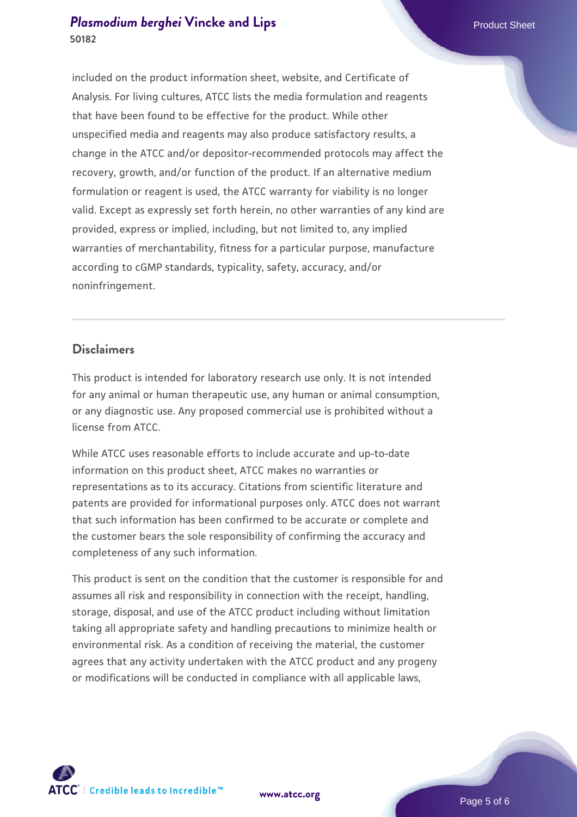included on the product information sheet, website, and Certificate of Analysis. For living cultures, ATCC lists the media formulation and reagents that have been found to be effective for the product. While other unspecified media and reagents may also produce satisfactory results, a change in the ATCC and/or depositor-recommended protocols may affect the recovery, growth, and/or function of the product. If an alternative medium formulation or reagent is used, the ATCC warranty for viability is no longer valid. Except as expressly set forth herein, no other warranties of any kind are provided, express or implied, including, but not limited to, any implied warranties of merchantability, fitness for a particular purpose, manufacture according to cGMP standards, typicality, safety, accuracy, and/or noninfringement.

## **Disclaimers**

This product is intended for laboratory research use only. It is not intended for any animal or human therapeutic use, any human or animal consumption, or any diagnostic use. Any proposed commercial use is prohibited without a license from ATCC.

While ATCC uses reasonable efforts to include accurate and up-to-date information on this product sheet, ATCC makes no warranties or representations as to its accuracy. Citations from scientific literature and patents are provided for informational purposes only. ATCC does not warrant that such information has been confirmed to be accurate or complete and the customer bears the sole responsibility of confirming the accuracy and completeness of any such information.

This product is sent on the condition that the customer is responsible for and assumes all risk and responsibility in connection with the receipt, handling, storage, disposal, and use of the ATCC product including without limitation taking all appropriate safety and handling precautions to minimize health or environmental risk. As a condition of receiving the material, the customer agrees that any activity undertaken with the ATCC product and any progeny or modifications will be conducted in compliance with all applicable laws,



**[www.atcc.org](http://www.atcc.org)**

Page 5 of 6